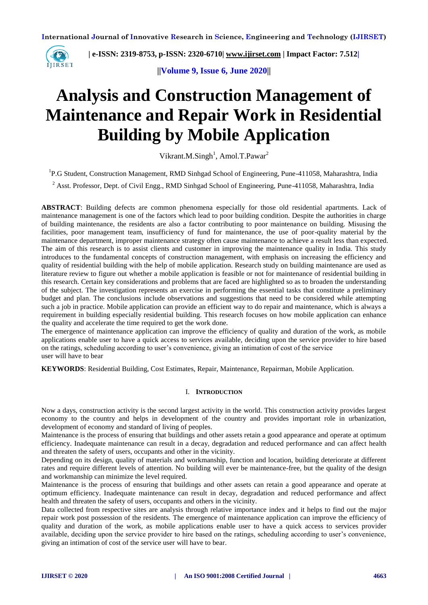

 **| e-ISSN: 2319-8753, p-ISSN: 2320-6710| [www.ijirset.com](http://www.ijirset.com/) | Impact Factor: 7.512|**

**||Volume 9, Issue 6, June 2020||** 

# **Analysis and Construction Management of Maintenance and Repair Work in Residential Building by Mobile Application**

Vikrant.M.Singh<sup>1</sup>, Amol.T.Pawar<sup>2</sup>

<sup>1</sup>P.G Student, Construction Management, RMD Sinhgad School of Engineering, Pune-411058, Maharashtra, India

<sup>2</sup> Asst. Professor, Dept. of Civil Engg., RMD Sinhgad School of Engineering, Pune-411058, Maharashtra, India

**ABSTRACT**: Building defects are common phenomena especially for those old residential apartments. Lack of maintenance management is one of the factors which lead to poor building condition. Despite the authorities in charge of building maintenance, the residents are also a factor contributing to poor maintenance on building. Misusing the facilities, poor management team, insufficiency of fund for maintenance, the use of poor-quality material by the maintenance department, improper maintenance strategy often cause maintenance to achieve a result less than expected. The aim of this research is to assist clients and customer in improving the maintenance quality in India. This study introduces to the fundamental concepts of construction management, with emphasis on increasing the efficiency and quality of residential building with the help of mobile application. Research study on building maintenance are used as literature review to figure out whether a mobile application is feasible or not for maintenance of residential building in this research. Certain key considerations and problems that are faced are highlighted so as to broaden the understanding of the subject. The investigation represents an exercise in performing the essential tasks that constitute a preliminary budget and plan. The conclusions include observations and suggestions that need to be considered while attempting such a job in practice. Mobile application can provide an efficient way to do repair and maintenance, which is always a requirement in building especially residential building. This research focuses on how mobile application can enhance the quality and accelerate the time required to get the work done.

The emergence of maintenance application can improve the efficiency of quality and duration of the work, as mobile applications enable user to have a quick access to services available, deciding upon the service provider to hire based on the ratings, scheduling according to user's convenience, giving an intimation of cost of the service user will have to bear

**KEYWORDS**: Residential Building, Cost Estimates, Repair, Maintenance, Repairman, Mobile Application.

#### I. **INTRODUCTION**

Now a days, construction activity is the second largest activity in the world. This construction activity provides largest economy to the country and helps in development of the country and provides important role in urbanization, development of economy and standard of living of peoples.

Maintenance is the process of ensuring that buildings and other assets retain a good appearance and operate at optimum efficiency. Inadequate maintenance can result in a decay, degradation and reduced performance and can affect health and threaten the safety of users, occupants and other in the vicinity.

Depending on its design, quality of materials and workmanship, function and location, building deteriorate at different rates and require different levels of attention. No building will ever be maintenance-free, but the quality of the design and workmanship can minimize the level required.

Maintenance is the process of ensuring that buildings and other assets can retain a good appearance and operate at optimum efficiency. Inadequate maintenance can result in decay, degradation and reduced performance and affect health and threaten the safety of users, occupants and others in the vicinity.

Data collected from respective sites are analysis through relative importance index and it helps to find out the major repair work post possession of the residents. The emergence of maintenance application can improve the efficiency of quality and duration of the work, as mobile applications enable user to have a quick access to services provider available, deciding upon the service provider to hire based on the ratings, scheduling according to user's convenience, giving an intimation of cost of the service user will have to bear.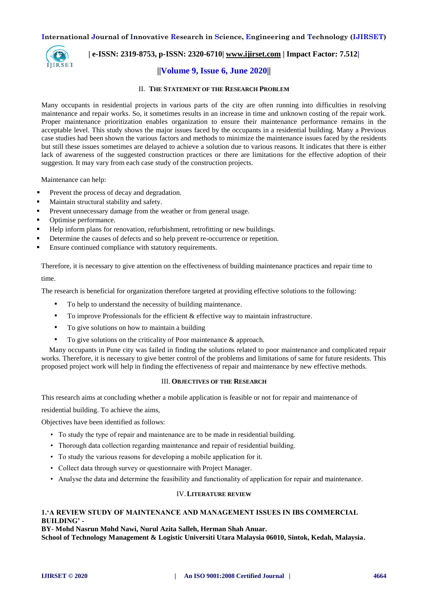

#### **| e-ISSN: 2319-8753, p-ISSN: 2320-6710| [www.ijirset.com](http://www.ijirset.com/) | Impact Factor: 7.512|**

#### **||Volume 9, Issue 6, June 2020||**

#### II. **THE STATEMENT OF THE RESEARCH PROBLEM**

Many occupants in residential projects in various parts of the city are often running into difficulties in resolving maintenance and repair works. So, it sometimes results in an increase in time and unknown costing of the repair work. Proper maintenance prioritization enables organization to ensure their maintenance performance remains in the acceptable level. This study shows the major issues faced by the occupants in a residential building. Many a Previous case studies had been shown the various factors and methods to minimize the maintenance issues faced by the residents but still these issues sometimes are delayed to achieve a solution due to various reasons. It indicates that there is either lack of awareness of the suggested construction practices or there are limitations for the effective adoption of their suggestion. It may vary from each case study of the construction projects.

Maintenance can help:

- Prevent the process of decay and [degradation.](https://www.designingbuildings.co.uk/wiki/Degradation)
- Maintain [structural](https://www.designingbuildings.co.uk/wiki/Structural) stability and [safety.](https://www.designingbuildings.co.uk/wiki/Safety)
- Prevent unnecessary [damage](https://www.designingbuildings.co.uk/wiki/Damages) from the weather or from general usage.
- Optimise [performance.](https://www.designingbuildings.co.uk/wiki/Performance)
- Help inform [plans](https://www.designingbuildings.co.uk/wiki/Plan) for [renovation,](https://www.designingbuildings.co.uk/wiki/Renovation) [refurbishment,](https://www.designingbuildings.co.uk/wiki/Refurbishment) [retrofitting](https://www.designingbuildings.co.uk/wiki/Retrofitting) or new [buildings.](https://www.designingbuildings.co.uk/wiki/Building)
- Determine the causes of [defects](https://www.designingbuildings.co.uk/wiki/Defects) and so help prevent re-occurrence or repetition.
- Ensure continued [compliance](https://www.designingbuildings.co.uk/wiki/Compliance) with [statutory requirements.](https://www.designingbuildings.co.uk/wiki/Statutory_requirements)

Therefore, it is necessary to give attention on the effectiveness of building maintenance practices and repair time to time.

The research is beneficial for organization therefore targeted at providing effective solutions to the following:

- To help to understand the necessity of building maintenance.
- To improve Professionals for the efficient & effective way to maintain infrastructure.
- To give solutions on how to maintain a building
- To give solutions on the criticality of Poor maintenance & approach.

Many occupants in Pune city was failed in finding the solutions related to poor maintenance and complicated repair works. Therefore, it is necessary to give better control of the problems and limitations of same for future residents. This proposed project work will help in finding the effectiveness of repair and maintenance by new effective methods.

#### III. **OBJECTIVES OF THE RESEARCH**

This research aims at concluding whether a mobile application is feasible or not for repair and maintenance of

residential building. To achieve the aims,

Objectives have been identified as follows:

- To study the type of repair and maintenance are to be made in residential building.
- Thorough data collection regarding maintenance and repair of residential building.
- To study the various reasons for developing a mobile application for it.
- Collect data through survey or questionnaire with Project Manager.
- Analyse the data and determine the feasibility and functionality of application for repair and maintenance.

#### IV.**LITERATURE REVIEW**

#### **1.'A REVIEW STUDY OF MAINTENANCE AND MANAGEMENT ISSUES IN IBS COMMERCIAL BUILDING' -**

**BY- Mohd Nasrun Mohd Nawi, Nurul Azita Salleh, Herman Shah Anuar.**

**School of Technology Management & Logistic Universiti Utara Malaysia 06010, Sintok, Kedah, Malaysia.**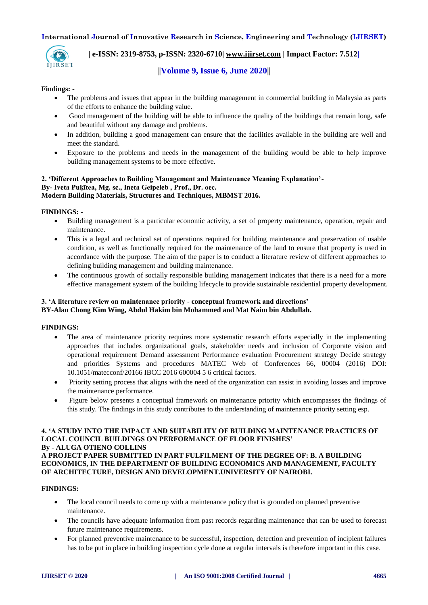

## **| e-ISSN: 2319-8753, p-ISSN: 2320-6710| [www.ijirset.com](http://www.ijirset.com/) | Impact Factor: 7.512|**

## **||Volume 9, Issue 6, June 2020||**

#### **Findings: -**

- The problems and issues that appear in the building management in commercial building in Malaysia as parts of the efforts to enhance the building value.
- Good management of the building will be able to influence the quality of the buildings that remain long, safe and beautiful without any damage and problems.
- In addition, building a good management can ensure that the facilities available in the building are well and meet the standard.
- Exposure to the problems and needs in the management of the building would be able to help improve building management systems to be more effective.

#### **2. 'Different Approaches to Building Management and Maintenance Meaning Explanation'- By- Iveta Puķītea, Mg. sc., Ineta Geipeleb , Prof., Dr. oec. Modern Building Materials, Structures and Techniques, MBMST 2016.**

#### **FINDINGS: -**

- Building management is a particular economic activity, a set of property maintenance, operation, repair and maintenance.
- This is a legal and technical set of operations required for building maintenance and preservation of usable condition, as well as functionally required for the maintenance of the land to ensure that property is used in accordance with the purpose. The aim of the paper is to conduct a literature review of different approaches to defining building management and building maintenance.
- The continuous growth of socially responsible building management indicates that there is a need for a more effective management system of the building lifecycle to provide sustainable residential property development.

#### **3. 'A literature review on maintenance priority - conceptual framework and directions' BY-Alan Chong Kim Wing, Abdul Hakim bin Mohammed and Mat Naim bin Abdullah.**

#### **FINDINGS:**

- The area of maintenance priority requires more systematic research efforts especially in the implementing approaches that includes organizational goals, stakeholder needs and inclusion of Corporate vision and operational requirement Demand assessment Performance evaluation Procurement strategy Decide strategy and priorities Systems and procedures MATEC Web of Conferences 66, 00004 (2016) DOI: 10.1051/matecconf/20166 IBCC 2016 600004 5 6 critical factors.
- Priority setting process that aligns with the need of the organization can assist in avoiding losses and improve the maintenance performance.
- Figure below presents a conceptual framework on maintenance priority which encompasses the findings of this study. The findings in this study contributes to the understanding of maintenance priority setting esp.

#### **4. 'A STUDY INTO THE IMPACT AND SUITABILITY OF BUILDING MAINTENANCE PRACTICES OF LOCAL COUNCIL BUILDINGS ON PERFORMANCE OF FLOOR FINISHES' By - ALUGA OTIENO COLLINS**

**A PROJECT PAPER SUBMITTED IN PART FULFILMENT OF THE DEGREE OF: B. A BUILDING ECONOMICS, IN THE DEPARTMENT OF BUILDING ECONOMICS AND MANAGEMENT, FACULTY OF ARCHITECTURE, DESIGN AND DEVELOPMENT.UNIVERSITY OF NAIROBI.**

#### **FINDINGS:**

- The local council needs to come up with a maintenance policy that is grounded on planned preventive maintenance.
- The councils have adequate information from past records regarding maintenance that can be used to forecast future maintenance requirements.
- For planned preventive maintenance to be successful, inspection, detection and prevention of incipient failures has to be put in place in building inspection cycle done at regular intervals is therefore important in this case.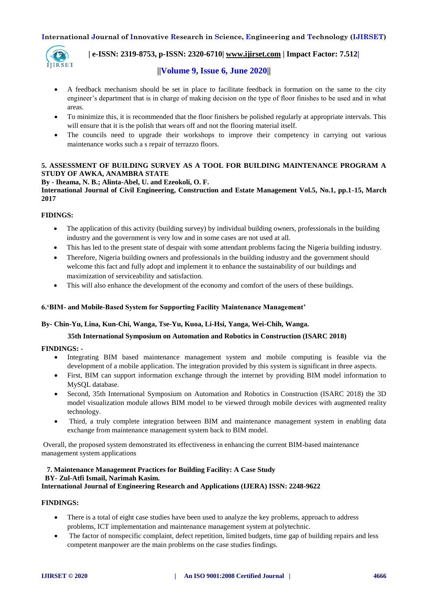

#### **| e-ISSN: 2319-8753, p-ISSN: 2320-6710| [www.ijirset.com](http://www.ijirset.com/) | Impact Factor: 7.512|**

#### **||Volume 9, Issue 6, June 2020||**

- A feedback mechanism should be set in place to facilitate feedback in formation on the same to the city engineer's department that is in charge of making decision on the type of floor finishes to be used and in what areas.
- To minimize this, it is recommended that the floor finishers be polished regularly at appropriate intervals. This will ensure that it is the polish that wears off and not the flooring material itself.
- The councils need to upgrade their workshops to improve their competency in carrying out various maintenance works such a s repair of terrazzo floors.

#### **5. ASSESSMENT OF BUILDING SURVEY AS A TOOL FOR BUILDING MAINTENANCE PROGRAM A STUDY OF AWKA, ANAMBRA STATE**

#### **By - Iheama, N. B.; Alinta-Abel, U. and Ezeokoli, O. F.**

**International Journal of Civil Engineering, Construction and Estate Management Vol.5, No.1, pp.1-15, March 2017**

#### **FIDINGS:**

- The application of this activity (building survey) by individual building owners, professionals in the building industry and the government is very low and in some cases are not used at all.
- This has led to the present state of despair with some attendant problems facing the Nigeria building industry.
- Therefore, Nigeria building owners and professionals in the building industry and the government should welcome this fact and fully adopt and implement it to enhance the sustainability of our buildings and maximization of serviceability and satisfaction.
- This will also enhance the development of the economy and comfort of the users of these buildings.

#### **6.'BIM- and Mobile-Based System for Supporting Facility Maintenance Management'**

#### **By- Chin-Yu, Lina, Kun-Chi, Wanga, Tse-Yu, Kuoa, Li-Hsi, Yanga, Wei-Chih, Wanga.**

#### **35th International Symposium on Automation and Robotics in Construction (ISARC 2018)**

#### **FINDINGS: -**

- Integrating BIM based maintenance management system and mobile computing is feasible via the development of a mobile application. The integration provided by this system is significant in three aspects.
- First, BIM can support information exchange through the internet by providing BIM model information to MySQL database.
- Second, 35th International Symposium on Automation and Robotics in Construction (ISARC 2018) the 3D model visualization module allows BIM model to be viewed through mobile devices with augmented reality technology.
- Third, a truly complete integration between BIM and maintenance management system in enabling data exchange from maintenance management system back to BIM model.

Overall, the proposed system demonstrated its effectiveness in enhancing the current BIM-based maintenance management system applications

## **7. Maintenance Management Practices for Building Facility: A Case Study BY- Zul-Atfi Ismail, Narimah Kasim.**

### **International Journal of Engineering Research and Applications (IJERA) ISSN: 2248-9622**

#### **FINDINGS:**

- There is a total of eight case studies have been used to analyze the key problems, approach to address problems, ICT implementation and maintenance management system at polytechnic.
- The factor of nonspecific complaint, defect repetition, limited budgets, time gap of building repairs and less competent manpower are the main problems on the case studies findings.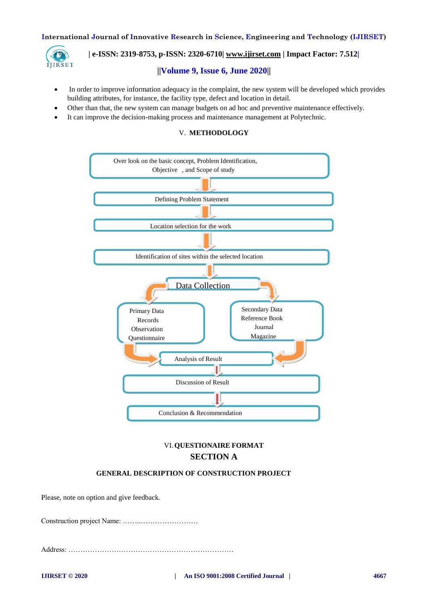

## **| e-ISSN: 2319-8753, p-ISSN: 2320-6710| [www.ijirset.com](http://www.ijirset.com/) | Impact Factor: 7.512|**

#### **||Volume 9, Issue 6, June 2020||**

- In order to improve information adequacy in the complaint, the new system will be developed which provides building attributes, for instance, the facility type, defect and location in detail.
- Other than that, the new system can manage budgets on ad hoc and preventive maintenance effectively.
- It can improve the decision-making process and maintenance management at Polytechnic.

#### V. **METHODOLOGY**



## VI.**QUESTIONAIRE FORMAT SECTION A**

#### **GENERAL DESCRIPTION OF CONSTRUCTION PROJECT**

Please, note on option and give feedback.

Construction project Name: ……..……………………

Address: ……………………………………………………………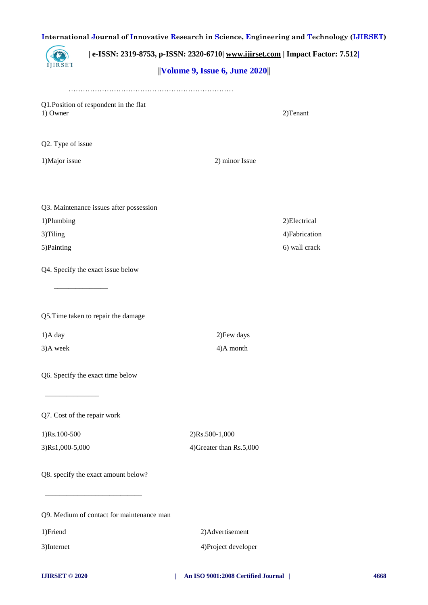| International Journal of Innovative Research in Science, Engineering and Technology (IJIRSET) |                                                                                                                         |                          |                |  |
|-----------------------------------------------------------------------------------------------|-------------------------------------------------------------------------------------------------------------------------|--------------------------|----------------|--|
| <b>IIRSET</b>                                                                                 | e-ISSN: 2319-8753, p-ISSN: 2320-6710  www.ijirset.com   Impact Factor: 7.512 <br>$  $ Volume 9, Issue 6, June 2020 $  $ |                          |                |  |
|                                                                                               |                                                                                                                         |                          |                |  |
|                                                                                               | Q1. Position of respondent in the flat                                                                                  |                          |                |  |
| 1) Owner                                                                                      |                                                                                                                         |                          | 2)Tenant       |  |
| Q2. Type of issue                                                                             |                                                                                                                         |                          |                |  |
| 1) Major issue                                                                                |                                                                                                                         | 2) minor Issue           |                |  |
|                                                                                               | Q3. Maintenance issues after possession                                                                                 |                          |                |  |
| 1)Plumbing                                                                                    |                                                                                                                         |                          | 2) Electrical  |  |
| 3)Tiling                                                                                      |                                                                                                                         |                          | 4) Fabrication |  |
| 5) Painting                                                                                   |                                                                                                                         |                          | 6) wall crack  |  |
|                                                                                               | Q4. Specify the exact issue below                                                                                       |                          |                |  |
|                                                                                               | Q5.Time taken to repair the damage                                                                                      |                          |                |  |
| 1)A day                                                                                       |                                                                                                                         | 2) Few days              |                |  |
| 3)A week                                                                                      |                                                                                                                         | 4)A month                |                |  |
|                                                                                               | Q6. Specify the exact time below                                                                                        |                          |                |  |
| Q7. Cost of the repair work                                                                   |                                                                                                                         |                          |                |  |
| 1)Rs.100-500                                                                                  |                                                                                                                         | 2)Rs.500-1,000           |                |  |
| 3)Rs1,000-5,000                                                                               |                                                                                                                         | 4) Greater than Rs.5,000 |                |  |
|                                                                                               | Q8. specify the exact amount below?                                                                                     |                          |                |  |
|                                                                                               |                                                                                                                         |                          |                |  |
|                                                                                               | Q9. Medium of contact for maintenance man                                                                               |                          |                |  |
| 1)Friend                                                                                      |                                                                                                                         | 2) Advertisement         |                |  |
| 3)Internet                                                                                    |                                                                                                                         | 4)Project developer      |                |  |
|                                                                                               |                                                                                                                         |                          |                |  |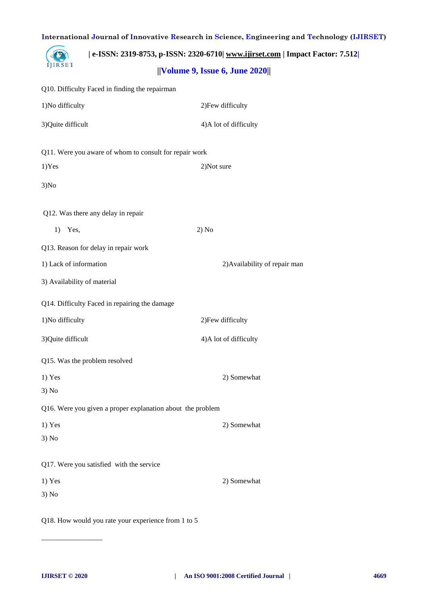|                             | e-ISSN: 2319-8753, p-ISSN: 2320-6710  www.ijirset.com   Impact Factor: 7.512 |                                        |  |
|-----------------------------|------------------------------------------------------------------------------|----------------------------------------|--|
| IJIRSET                     |                                                                              | $  $ Volume 9, Issue 6, June 2020 $  $ |  |
|                             | Q10. Difficulty Faced in finding the repairman                               |                                        |  |
| 1)No difficulty             |                                                                              | 2) Few difficulty                      |  |
| 3) Quite difficult          |                                                                              | 4) A lot of difficulty                 |  |
|                             | Q11. Were you aware of whom to consult for repair work                       |                                        |  |
| 1) Yes                      |                                                                              | 2)Not sure                             |  |
| 3) No                       |                                                                              |                                        |  |
|                             | Q12. Was there any delay in repair                                           |                                        |  |
| Yes,<br>1)                  |                                                                              | 2) No                                  |  |
|                             | Q13. Reason for delay in repair work                                         |                                        |  |
| 1) Lack of information      |                                                                              | 2) Availability of repair man          |  |
| 3) Availability of material |                                                                              |                                        |  |
|                             | Q14. Difficulty Faced in repairing the damage                                |                                        |  |
| 1)No difficulty             |                                                                              | 2) Few difficulty                      |  |
| 3) Quite difficult          |                                                                              | 4) A lot of difficulty                 |  |
|                             | Q15. Was the problem resolved                                                |                                        |  |
| $1)$ Yes                    |                                                                              | 2) Somewhat                            |  |
| 3) No                       |                                                                              |                                        |  |
|                             | Q16. Were you given a proper explanation about the problem                   |                                        |  |
| 1) Yes                      |                                                                              | 2) Somewhat                            |  |
| 3) No                       |                                                                              |                                        |  |
|                             | Q17. Were you satisfied with the service                                     |                                        |  |
| $1)$ Yes                    |                                                                              | 2) Somewhat                            |  |
| 3) No                       |                                                                              |                                        |  |
|                             | Q18. How would you rate your experience from 1 to 5                          |                                        |  |

\_\_\_\_\_\_\_\_\_\_\_\_\_\_\_\_\_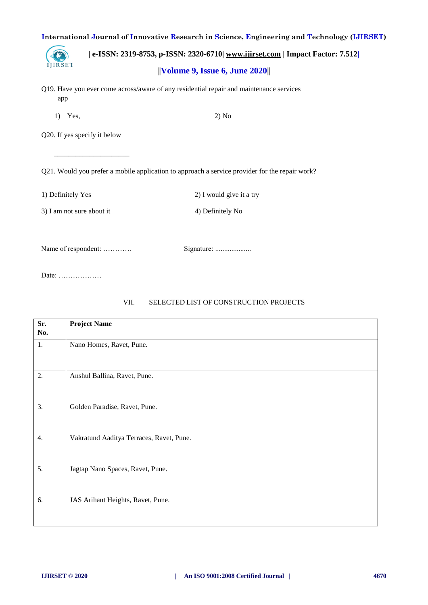IJIRSET

 **| e-ISSN: 2319-8753, p-ISSN: 2320-6710| [www.ijirset.com](http://www.ijirset.com/) | Impact Factor: 7.512| ||Volume 9, Issue 6, June 2020||** 

- Q19. Have you ever come across/aware of any residential repair and maintenance services app
	- 1) Yes, 2) No

Q20. If yes specify it below

 $\overline{\phantom{a}}$  , and the contract of the contract of the contract of the contract of the contract of the contract of the contract of the contract of the contract of the contract of the contract of the contract of the contrac

Q21. Would you prefer a mobile application to approach a service provider for the repair work?

1) Definitely Yes 2) I would give it a try

3) I am not sure about it 4) Definitely No

Name of respondent: ………… Signature: ....................

Date: ………………

## VII. SELECTED LIST OF CONSTRUCTION PROJECTS

| Sr.<br>No. | <b>Project Name</b>                      |
|------------|------------------------------------------|
| 1.         | Nano Homes, Ravet, Pune.                 |
| 2.         | Anshul Ballina, Ravet, Pune.             |
| 3.         | Golden Paradise, Ravet, Pune.            |
| 4.         | Vakratund Aaditya Terraces, Ravet, Pune. |
| 5.         | Jagtap Nano Spaces, Ravet, Pune.         |
| 6.         | JAS Arihant Heights, Ravet, Pune.        |